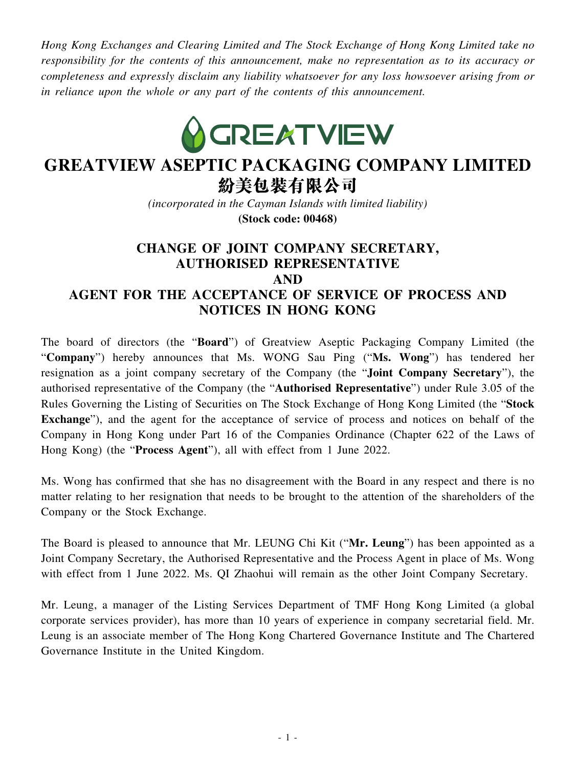*Hong Kong Exchanges and Clearing Limited and The Stock Exchange of Hong Kong Limited take no responsibility for the contents of this announcement, make no representation as to its accuracy or completeness and expressly disclaim any liability whatsoever for any loss howsoever arising from or in reliance upon the whole or any part of the contents of this announcement.*



## **GREATVIEW ASEPTIC PACKAGING COMPANY LIMITED** 紛美包裝有限公司

*(incorporated in the Cayman Islands with limited liability)*

**(Stock code: 00468)**

## **CHANGE OF JOINT COMPANY SECRETARY, AUTHORISED REPRESENTATIVE AND AGENT FOR THE ACCEPTANCE OF SERVICE OF PROCESS AND NOTICES IN HONG KONG**

The board of directors (the "**Board**") of Greatview Aseptic Packaging Company Limited (the "**Company**") hereby announces that Ms. WONG Sau Ping ("**Ms. Wong**") has tendered her resignation as a joint company secretary of the Company (the "**Joint Company Secretary**"), the authorised representative of the Company (the "**Authorised Representative**") under Rule 3.05 of the Rules Governing the Listing of Securities on The Stock Exchange of Hong Kong Limited (the "**Stock Exchange**"), and the agent for the acceptance of service of process and notices on behalf of the Company in Hong Kong under Part 16 of the Companies Ordinance (Chapter 622 of the Laws of Hong Kong) (the "**Process Agent**"), all with effect from 1 June 2022.

Ms. Wong has confirmed that she has no disagreement with the Board in any respect and there is no matter relating to her resignation that needs to be brought to the attention of the shareholders of the Company or the Stock Exchange.

The Board is pleased to announce that Mr. LEUNG Chi Kit ("**Mr. Leung**") has been appointed as a Joint Company Secretary, the Authorised Representative and the Process Agent in place of Ms. Wong with effect from 1 June 2022. Ms. QI Zhaohui will remain as the other Joint Company Secretary.

Mr. Leung, a manager of the Listing Services Department of TMF Hong Kong Limited (a global corporate services provider), has more than 10 years of experience in company secretarial field. Mr. Leung is an associate member of The Hong Kong Chartered Governance Institute and The Chartered Governance Institute in the United Kingdom.